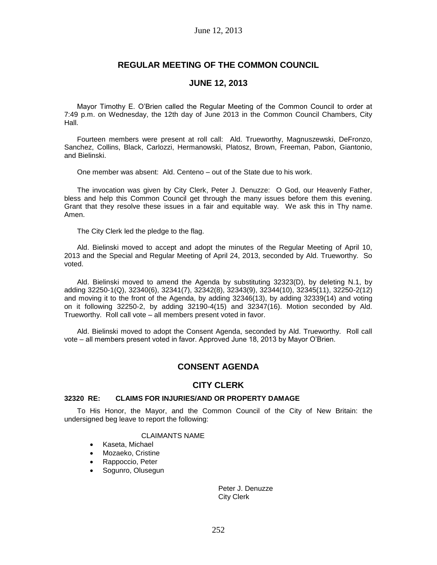# **REGULAR MEETING OF THE COMMON COUNCIL**

# **JUNE 12, 2013**

Mayor Timothy E. O'Brien called the Regular Meeting of the Common Council to order at 7:49 p.m. on Wednesday, the 12th day of June 2013 in the Common Council Chambers, City Hall.

Fourteen members were present at roll call: Ald. Trueworthy, Magnuszewski, DeFronzo, Sanchez, Collins, Black, Carlozzi, Hermanowski, Platosz, Brown, Freeman, Pabon, Giantonio, and Bielinski.

One member was absent: Ald. Centeno – out of the State due to his work.

The invocation was given by City Clerk, Peter J. Denuzze: O God, our Heavenly Father, bless and help this Common Council get through the many issues before them this evening. Grant that they resolve these issues in a fair and equitable way. We ask this in Thy name. Amen.

The City Clerk led the pledge to the flag.

Ald. Bielinski moved to accept and adopt the minutes of the Regular Meeting of April 10, 2013 and the Special and Regular Meeting of April 24, 2013, seconded by Ald. Trueworthy. So voted.

Ald. Bielinski moved to amend the Agenda by substituting 32323(D), by deleting N.1, by adding 32250-1(Q), 32340(6), 32341(7), 32342(8), 32343(9), 32344(10), 32345(11), 32250-2(12) and moving it to the front of the Agenda, by adding 32346(13), by adding 32339(14) and voting on it following 32250-2, by adding 32190-4(15) and 32347(16). Motion seconded by Ald. Trueworthy. Roll call vote – all members present voted in favor.

Ald. Bielinski moved to adopt the Consent Agenda, seconded by Ald. Trueworthy. Roll call vote – all members present voted in favor. Approved June 18, 2013 by Mayor O'Brien.

# **CONSENT AGENDA**

# **CITY CLERK**

## **32320 RE: CLAIMS FOR INJURIES/AND OR PROPERTY DAMAGE**

To His Honor, the Mayor, and the Common Council of the City of New Britain: the undersigned beg leave to report the following:

## CLAIMANTS NAME

- Kaseta, Michael
- Mozaeko, Cristine
- Rappoccio, Peter
- Sogunro, Olusegun

Peter J. Denuzze City Clerk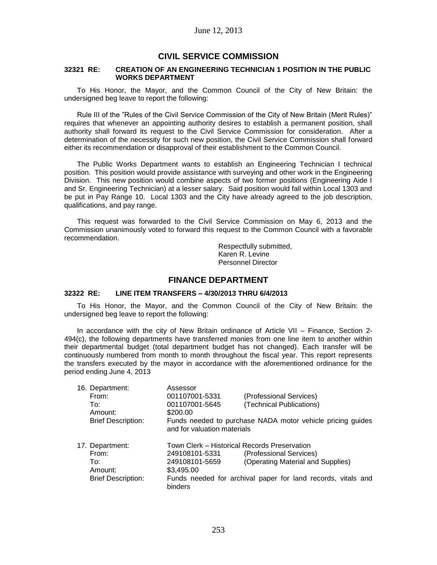# **CIVIL SERVICE COMMISSION**

### **32321 RE: CREATION OF AN ENGINEERING TECHNICIAN 1 POSITION IN THE PUBLIC WORKS DEPARTMENT**

To His Honor, the Mayor, and the Common Council of the City of New Britain: the undersigned beg leave to report the following:

Rule III of the "Rules of the Civil Service Commission of the City of New Britain (Merit Rules)" requires that whenever an appointing authority desires to establish a permanent position, shall authority shall forward its request to the Civil Service Commission for consideration. After a determination of the necessity for such new position, the Civil Service Commission shall forward either its recommendation or disapproval of their establishment to the Common Council.

The Public Works Department wants to establish an Engineering Technician I technical position. This position would provide assistance with surveying and other work in the Engineering Division. This new position would combine aspects of two former positions (Engineering Aide I and Sr. Engineering Technician) at a lesser salary. Said position would fall within Local 1303 and be put in Pay Range 10. Local 1303 and the City have already agreed to the job description, qualifications, and pay range.

This request was forwarded to the Civil Service Commission on May 6, 2013 and the Commission unanimously voted to forward this request to the Common Council with a favorable recommendation.

> Respectfully submitted, Karen R. Levine Personnel Director

# **FINANCE DEPARTMENT**

## **32322 RE: LINE ITEM TRANSFERS – 4/30/2013 THRU 6/4/2013**

To His Honor, the Mayor, and the Common Council of the City of New Britain: the undersigned beg leave to report the following:

In accordance with the city of New Britain ordinance of Article VII – Finance, Section 2- 494(c), the following departments have transferred monies from one line item to another within their departmental budget (total department budget has not changed). Each transfer will be continuously numbered from month to month throughout the fiscal year. This report represents the transfers executed by the mayor in accordance with the aforementioned ordinance for the period ending June 4, 2013

|  | 16. Department:           | Assessor                                     |                                                              |
|--|---------------------------|----------------------------------------------|--------------------------------------------------------------|
|  | From:                     | 001107001-5331                               | (Professional Services)                                      |
|  | To:                       | 001107001-5645                               | (Technical Publications)                                     |
|  | Amount:                   | \$200.00                                     |                                                              |
|  | <b>Brief Description:</b> | and for valuation materials                  | Funds needed to purchase NADA motor vehicle pricing guides   |
|  | 17. Department:           | Town Clerk - Historical Records Preservation |                                                              |
|  | From:                     | 249108101-5331                               | (Professional Services)                                      |
|  | To:                       | 249108101-5659                               | (Operating Material and Supplies)                            |
|  | Amount:                   | \$3,495.00                                   |                                                              |
|  | <b>Brief Description:</b> | binders                                      | Funds needed for archival paper for land records, vitals and |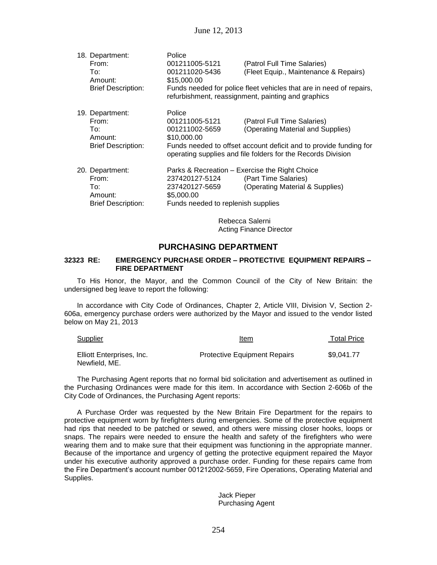| 18. Department:<br>From:<br>To:<br>Amount:<br><b>Brief Description:</b> | Police<br>001211005-5121<br>001211020-5436<br>\$15,000.00                            | (Patrol Full Time Salaries)<br>(Fleet Equip., Maintenance & Repairs)<br>Funds needed for police fleet vehicles that are in need of repairs,<br>refurbishment, reassignment, painting and graphics     |
|-------------------------------------------------------------------------|--------------------------------------------------------------------------------------|-------------------------------------------------------------------------------------------------------------------------------------------------------------------------------------------------------|
| 19. Department:<br>From:<br>To∶<br>Amount:<br><b>Brief Description:</b> | Police<br>001211005-5121<br>001211002-5659<br>\$10,000.00                            | (Patrol Full Time Salaries)<br>(Operating Material and Supplies)<br>Funds needed to offset account deficit and to provide funding for<br>operating supplies and file folders for the Records Division |
| 20. Department:<br>From:<br>To:<br>Amount:<br><b>Brief Description:</b> | 237420127-5124<br>237420127-5659<br>\$5,000.00<br>Funds needed to replenish supplies | Parks & Recreation – Exercise the Right Choice<br>(Part Time Salaries)<br>(Operating Material & Supplies)                                                                                             |

Rebecca Salerni Acting Finance Director

# **PURCHASING DEPARTMENT**

### **32323 RE: EMERGENCY PURCHASE ORDER – PROTECTIVE EQUIPMENT REPAIRS – FIRE DEPARTMENT**

To His Honor, the Mayor, and the Common Council of the City of New Britain: the undersigned beg leave to report the following:

In accordance with City Code of Ordinances, Chapter 2, Article VIII, Division V, Section 2- 606a, emergency purchase orders were authorized by the Mayor and issued to the vendor listed below on May 21, 2013

| Supplier                                   | Item                                | <b>Total Price</b> |  |
|--------------------------------------------|-------------------------------------|--------------------|--|
| Elliott Enterprises, Inc.<br>Newfield, ME. | <b>Protective Equipment Repairs</b> | \$9,041.77         |  |

The Purchasing Agent reports that no formal bid solicitation and advertisement as outlined in the Purchasing Ordinances were made for this item. In accordance with Section 2-606b of the City Code of Ordinances, the Purchasing Agent reports:

A Purchase Order was requested by the New Britain Fire Department for the repairs to protective equipment worn by firefighters during emergencies. Some of the protective equipment had rips that needed to be patched or sewed, and others were missing closer hooks, loops or snaps. The repairs were needed to ensure the health and safety of the firefighters who were wearing them and to make sure that their equipment was functioning in the appropriate manner. Because of the importance and urgency of getting the protective equipment repaired the Mayor under his executive authority approved a purchase order. Funding for these repairs came from the Fire Department's account number 001212002-5659, Fire Operations, Operating Material and Supplies.

> Jack Pieper Purchasing Agent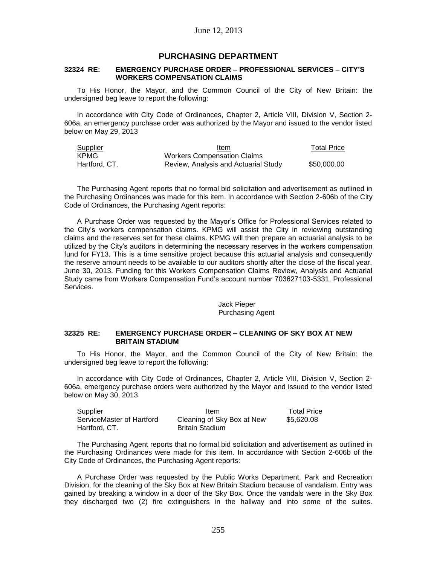# **PURCHASING DEPARTMENT**

### **32324 RE: EMERGENCY PURCHASE ORDER – PROFESSIONAL SERVICES – CITY'S WORKERS COMPENSATION CLAIMS**

To His Honor, the Mayor, and the Common Council of the City of New Britain: the undersigned beg leave to report the following:

In accordance with City Code of Ordinances, Chapter 2, Article VIII, Division V, Section 2- 606a, an emergency purchase order was authorized by the Mayor and issued to the vendor listed below on May 29, 2013

| Supplier      | Item                                 | <b>Total Price</b> |
|---------------|--------------------------------------|--------------------|
| KPMG          | Workers Compensation Claims          |                    |
| Hartford, CT. | Review, Analysis and Actuarial Study | \$50,000,00        |

The Purchasing Agent reports that no formal bid solicitation and advertisement as outlined in the Purchasing Ordinances was made for this item. In accordance with Section 2-606b of the City Code of Ordinances, the Purchasing Agent reports:

A Purchase Order was requested by the Mayor's Office for Professional Services related to the City's workers compensation claims. KPMG will assist the City in reviewing outstanding claims and the reserves set for these claims. KPMG will then prepare an actuarial analysis to be utilized by the City's auditors in determining the necessary reserves in the workers compensation fund for FY13. This is a time sensitive project because this actuarial analysis and consequently the reserve amount needs to be available to our auditors shortly after the close of the fiscal year, June 30, 2013. Funding for this Workers Compensation Claims Review, Analysis and Actuarial Study came from Workers Compensation Fund's account number 703627103-5331, Professional Services.

### Jack Pieper Purchasing Agent

## **32325 RE: EMERGENCY PURCHASE ORDER – CLEANING OF SKY BOX AT NEW BRITAIN STADIUM**

To His Honor, the Mayor, and the Common Council of the City of New Britain: the undersigned beg leave to report the following:

In accordance with City Code of Ordinances, Chapter 2, Article VIII, Division V, Section 2- 606a, emergency purchase orders were authorized by the Mayor and issued to the vendor listed below on May 30, 2013

| Supplier                  | Item                       | <b>Total Price</b> |
|---------------------------|----------------------------|--------------------|
| ServiceMaster of Hartford | Cleaning of Sky Box at New | \$5.620.08         |
| Hartford, CT.             | <b>Britain Stadium</b>     |                    |

The Purchasing Agent reports that no formal bid solicitation and advertisement as outlined in the Purchasing Ordinances were made for this item. In accordance with Section 2-606b of the City Code of Ordinances, the Purchasing Agent reports:

A Purchase Order was requested by the Public Works Department, Park and Recreation Division, for the cleaning of the Sky Box at New Britain Stadium because of vandalism. Entry was gained by breaking a window in a door of the Sky Box. Once the vandals were in the Sky Box they discharged two (2) fire extinguishers in the hallway and into some of the suites.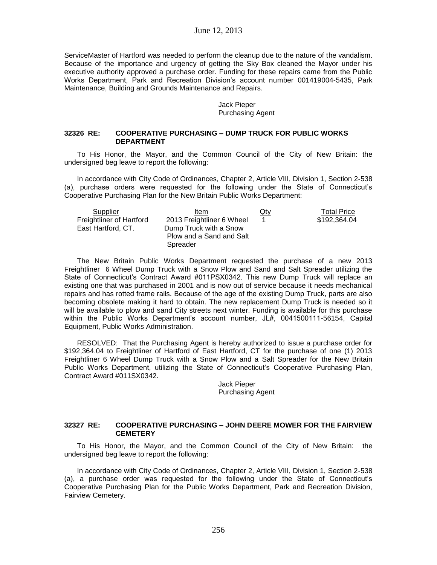ServiceMaster of Hartford was needed to perform the cleanup due to the nature of the vandalism. Because of the importance and urgency of getting the Sky Box cleaned the Mayor under his executive authority approved a purchase order. Funding for these repairs came from the Public Works Department, Park and Recreation Division's account number 001419004-5435, Park Maintenance, Building and Grounds Maintenance and Repairs.

## Jack Pieper Purchasing Agent

## **32326 RE: COOPERATIVE PURCHASING – DUMP TRUCK FOR PUBLIC WORKS DEPARTMENT**

To His Honor, the Mayor, and the Common Council of the City of New Britain: the undersigned beg leave to report the following:

In accordance with City Code of Ordinances, Chapter 2, Article VIII, Division 1, Section 2-538 (a), purchase orders were requested for the following under the State of Connecticut's Cooperative Purchasing Plan for the New Britain Public Works Department:

| Supplier                 | Item                      | $Q$ ty | <b>Total Price</b> |
|--------------------------|---------------------------|--------|--------------------|
| Freightliner of Hartford | 2013 Freightliner 6 Wheel |        | \$192,364.04       |
| East Hartford, CT.       | Dump Truck with a Snow    |        |                    |
|                          | Plow and a Sand and Salt  |        |                    |
|                          | Spreader                  |        |                    |

The New Britain Public Works Department requested the purchase of a new 2013 Freightliner 6 Wheel Dump Truck with a Snow Plow and Sand and Salt Spreader utilizing the State of Connecticut's Contract Award #011PSX0342. This new Dump Truck will replace an existing one that was purchased in 2001 and is now out of service because it needs mechanical repairs and has rotted frame rails. Because of the age of the existing Dump Truck, parts are also becoming obsolete making it hard to obtain. The new replacement Dump Truck is needed so it will be available to plow and sand City streets next winter. Funding is available for this purchase within the Public Works Department's account number, JL#, 0041500111-56154, Capital Equipment, Public Works Administration.

RESOLVED: That the Purchasing Agent is hereby authorized to issue a purchase order for \$192,364.04 to Freightliner of Hartford of East Hartford, CT for the purchase of one (1) 2013 Freightliner 6 Wheel Dump Truck with a Snow Plow and a Salt Spreader for the New Britain Public Works Department, utilizing the State of Connecticut's Cooperative Purchasing Plan, Contract Award #011SX0342.

> Jack Pieper Purchasing Agent

## **32327 RE: COOPERATIVE PURCHASING – JOHN DEERE MOWER FOR THE FAIRVIEW CEMETERY**

To His Honor, the Mayor, and the Common Council of the City of New Britain: the undersigned beg leave to report the following:

In accordance with City Code of Ordinances, Chapter 2, Article VIII, Division 1, Section 2-538 (a), a purchase order was requested for the following under the State of Connecticut's Cooperative Purchasing Plan for the Public Works Department, Park and Recreation Division, Fairview Cemetery.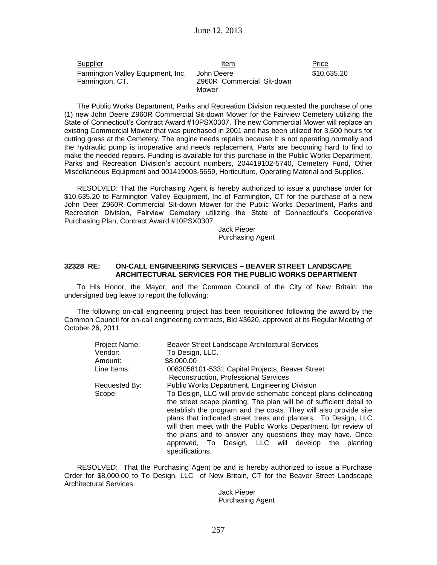| Supplier                          | Item                      | Price       |
|-----------------------------------|---------------------------|-------------|
| Farmington Valley Equipment, Inc. | John Deere                | \$10,635.20 |
| Farmington, CT.                   | Z960R Commercial Sit-down |             |
|                                   | Mower                     |             |

The Public Works Department, Parks and Recreation Division requested the purchase of one (1) new John Deere Z960R Commercial Sit-down Mower for the Fairview Cemetery utilizing the State of Connecticut's Contract Award #10PSX0307. The new Commercial Mower will replace an existing Commercial Mower that was purchased in 2001 and has been utilized for 3,500 hours for cutting grass at the Cemetery. The engine needs repairs because it is not operating normally and the hydraulic pump is inoperative and needs replacement. Parts are becoming hard to find to make the needed repairs. Funding is available for this purchase in the Public Works Department, Parks and Recreation Division's account numbers, 204419102-5740, Cemetery Fund, Other Miscellaneous Equipment and 001419003-5659, Horticulture, Operating Material and Supplies.

RESOLVED: That the Purchasing Agent is hereby authorized to issue a purchase order for \$10,635.20 to Farmington Valley Equipment, Inc of Farmington, CT for the purchase of a new John Deer Z960R Commercial Sit-down Mower for the Public Works Department, Parks and Recreation Division, Fairview Cemetery utilizing the State of Connecticut's Cooperative Purchasing Plan, Contract Award #10PSX0307.

> Jack Pieper Purchasing Agent

## **32328 RE: ON-CALL ENGINEERING SERVICES – BEAVER STREET LANDSCAPE ARCHITECTURAL SERVICES FOR THE PUBLIC WORKS DEPARTMENT**

To His Honor, the Mayor, and the Common Council of the City of New Britain: the undersigned beg leave to report the following:

The following on-call engineering project has been requisitioned following the award by the Common Council for on-call engineering contracts, Bid #3620, approved at its Regular Meeting of October 26, 2011

| Project Name: | Beaver Street Landscape Architectural Services                           |
|---------------|--------------------------------------------------------------------------|
| Vendor:       | To Design, LLC.                                                          |
| Amount:       | \$8,000.00                                                               |
| Line Items:   | 0083058101-5331 Capital Projects, Beaver Street                          |
|               | Reconstruction, Professional Services                                    |
| Requested By: | <b>Public Works Department, Engineering Division</b>                     |
| Scope:        | To Design, LLC will provide schematic concept plans delineating          |
|               | the street scape planting. The plan will be of sufficient detail to      |
|               | establish the program and the costs. They will also provide site         |
|               | plans that indicated street trees and planters. To Design, LLC           |
|               | will then meet with the Public Works Department for review of            |
|               | the plans and to answer any questions they may have. Once                |
|               | approved, To Design, LLC will develop the<br>planting<br>specifications. |
|               |                                                                          |

RESOLVED: That the Purchasing Agent be and is hereby authorized to issue a Purchase Order for \$8,000.00 to To Design, LLC of New Britain, CT for the Beaver Street Landscape Architectural Services.

Jack Pieper Purchasing Agent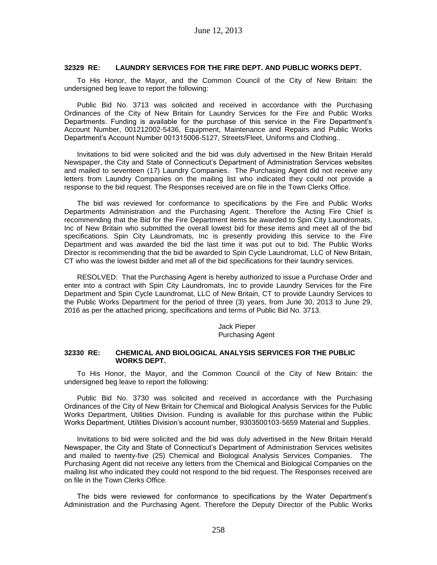### **32329 RE: LAUNDRY SERVICES FOR THE FIRE DEPT. AND PUBLIC WORKS DEPT.**

To His Honor, the Mayor, and the Common Council of the City of New Britain: the undersigned beg leave to report the following:

Public Bid No. 3713 was solicited and received in accordance with the Purchasing Ordinances of the City of New Britain for Laundry Services for the Fire and Public Works Departments. Funding is available for the purchase of this service in the Fire Department's Account Number, 001212002-5436, Equipment, Maintenance and Repairs and Public Works Department's Account Number 001315006-5127, Streets/Fleet, Uniforms and Clothing..

Invitations to bid were solicited and the bid was duly advertised in the New Britain Herald Newspaper, the City and State of Connecticut's Department of Administration Services websites and mailed to seventeen (17) Laundry Companies. The Purchasing Agent did not receive any letters from Laundry Companies on the mailing list who indicated they could not provide a response to the bid request. The Responses received are on file in the Town Clerks Office.

The bid was reviewed for conformance to specifications by the Fire and Public Works Departments Administration and the Purchasing Agent. Therefore the Acting Fire Chief is recommending that the Bid for the Fire Department items be awarded to Spin City Laundromats, Inc of New Britain who submitted the overall lowest bid for these items and meet all of the bid specifications. Spin City Laundromats, Inc is presently providing this service to the Fire Department and was awarded the bid the last time it was put out to bid. The Public Works Director is recommending that the bid be awarded to Spin Cycle Laundromat, LLC of New Britain, CT who was the lowest bidder and met all of the bid specifications for their laundry services.

RESOLVED: That the Purchasing Agent is hereby authorized to issue a Purchase Order and enter into a contract with Spin City Laundromats, Inc to provide Laundry Services for the Fire Department and Spin Cycle Laundromat, LLC of New Britain, CT to provide Laundry Services to the Public Works Department for the period of three (3) years, from June 30, 2013 to June 29, 2016 as per the attached pricing, specifications and terms of Public Bid No. 3713.

> Jack Pieper Purchasing Agent

## **32330 RE: CHEMICAL AND BIOLOGICAL ANALYSIS SERVICES FOR THE PUBLIC WORKS DEPT.**

To His Honor, the Mayor, and the Common Council of the City of New Britain: the undersigned beg leave to report the following:

Public Bid No. 3730 was solicited and received in accordance with the Purchasing Ordinances of the City of New Britain for Chemical and Biological Analysis Services for the Public Works Department, Utilities Division. Funding is available for this purchase within the Public Works Department, Utilities Division's account number, 9303500103-5659 Material and Supplies.

Invitations to bid were solicited and the bid was duly advertised in the New Britain Herald Newspaper, the City and State of Connecticut's Department of Administration Services websites and mailed to twenty-five (25) Chemical and Biological Analysis Services Companies. The Purchasing Agent did not receive any letters from the Chemical and Biological Companies on the mailing list who indicated they could not respond to the bid request. The Responses received are on file in the Town Clerks Office.

The bids were reviewed for conformance to specifications by the Water Department's Administration and the Purchasing Agent. Therefore the Deputy Director of the Public Works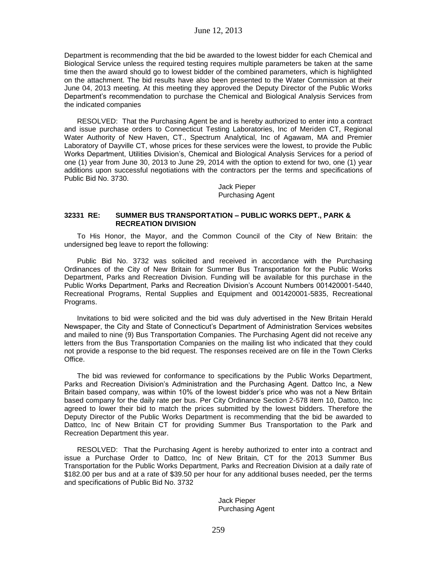Department is recommending that the bid be awarded to the lowest bidder for each Chemical and Biological Service unless the required testing requires multiple parameters be taken at the same time then the award should go to lowest bidder of the combined parameters, which is highlighted on the attachment. The bid results have also been presented to the Water Commission at their June 04, 2013 meeting. At this meeting they approved the Deputy Director of the Public Works Department's recommendation to purchase the Chemical and Biological Analysis Services from the indicated companies

RESOLVED: That the Purchasing Agent be and is hereby authorized to enter into a contract and issue purchase orders to Connecticut Testing Laboratories, Inc of Meriden CT, Regional Water Authority of New Haven, CT., Spectrum Analytical, Inc of Agawam, MA and Premier Laboratory of Dayville CT, whose prices for these services were the lowest, to provide the Public Works Department, Utilities Division's, Chemical and Biological Analysis Services for a period of one (1) year from June 30, 2013 to June 29, 2014 with the option to extend for two, one (1) year additions upon successful negotiations with the contractors per the terms and specifications of Public Bid No. 3730.

> Jack Pieper Purchasing Agent

## **32331 RE: SUMMER BUS TRANSPORTATION – PUBLIC WORKS DEPT., PARK & RECREATION DIVISION**

To His Honor, the Mayor, and the Common Council of the City of New Britain: the undersigned beg leave to report the following:

Public Bid No. 3732 was solicited and received in accordance with the Purchasing Ordinances of the City of New Britain for Summer Bus Transportation for the Public Works Department, Parks and Recreation Division. Funding will be available for this purchase in the Public Works Department, Parks and Recreation Division's Account Numbers 001420001-5440, Recreational Programs, Rental Supplies and Equipment and 001420001-5835, Recreational Programs.

Invitations to bid were solicited and the bid was duly advertised in the New Britain Herald Newspaper, the City and State of Connecticut's Department of Administration Services websites and mailed to nine (9) Bus Transportation Companies. The Purchasing Agent did not receive any letters from the Bus Transportation Companies on the mailing list who indicated that they could not provide a response to the bid request. The responses received are on file in the Town Clerks Office.

The bid was reviewed for conformance to specifications by the Public Works Department, Parks and Recreation Division's Administration and the Purchasing Agent. Dattco Inc, a New Britain based company, was within 10% of the lowest bidder's price who was not a New Britain based company for the daily rate per bus. Per City Ordinance Section 2-578 item 10, Dattco, Inc agreed to lower their bid to match the prices submitted by the lowest bidders. Therefore the Deputy Director of the Public Works Department is recommending that the bid be awarded to Dattco, Inc of New Britain CT for providing Summer Bus Transportation to the Park and Recreation Department this year.

RESOLVED: That the Purchasing Agent is hereby authorized to enter into a contract and issue a Purchase Order to Dattco, Inc of New Britain, CT for the 2013 Summer Bus Transportation for the Public Works Department, Parks and Recreation Division at a daily rate of \$182.00 per bus and at a rate of \$39.50 per hour for any additional buses needed, per the terms and specifications of Public Bid No. 3732

> Jack Pieper Purchasing Agent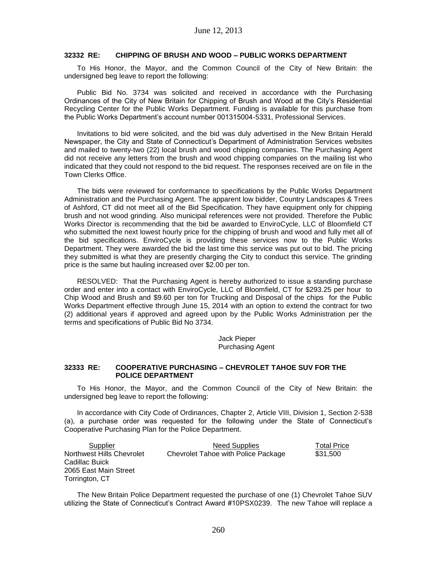### **32332 RE: CHIPPING OF BRUSH AND WOOD – PUBLIC WORKS DEPARTMENT**

To His Honor, the Mayor, and the Common Council of the City of New Britain: the undersigned beg leave to report the following:

Public Bid No. 3734 was solicited and received in accordance with the Purchasing Ordinances of the City of New Britain for Chipping of Brush and Wood at the City's Residential Recycling Center for the Public Works Department. Funding is available for this purchase from the Public Works Department's account number 001315004-5331, Professional Services.

Invitations to bid were solicited, and the bid was duly advertised in the New Britain Herald Newspaper, the City and State of Connecticut's Department of Administration Services websites and mailed to twenty-two (22) local brush and wood chipping companies. The Purchasing Agent did not receive any letters from the brush and wood chipping companies on the mailing list who indicated that they could not respond to the bid request. The responses received are on file in the Town Clerks Office.

The bids were reviewed for conformance to specifications by the Public Works Department Administration and the Purchasing Agent. The apparent low bidder, Country Landscapes & Trees of Ashford, CT did not meet all of the Bid Specification. They have equipment only for chipping brush and not wood grinding. Also municipal references were not provided. Therefore the Public Works Director is recommending that the bid be awarded to EnviroCycle, LLC of Bloomfield CT who submitted the next lowest hourly price for the chipping of brush and wood and fully met all of the bid specifications. EnviroCycle is providing these services now to the Public Works Department. They were awarded the bid the last time this service was put out to bid. The pricing they submitted is what they are presently charging the City to conduct this service. The grinding price is the same but hauling increased over \$2.00 per ton.

RESOLVED: That the Purchasing Agent is hereby authorized to issue a standing purchase order and enter into a contact with EnviroCycle, LLC of Bloomfield, CT for \$293.25 per hour to Chip Wood and Brush and \$9.60 per ton for Trucking and Disposal of the chips for the Public Works Department effective through June 15, 2014 with an option to extend the contract for two (2) additional years if approved and agreed upon by the Public Works Administration per the terms and specifications of Public Bid No 3734.

> Jack Pieper Purchasing Agent

#### **32333 RE: COOPERATIVE PURCHASING – CHEVROLET TAHOE SUV FOR THE POLICE DEPARTMENT**

To His Honor, the Mayor, and the Common Council of the City of New Britain: the undersigned beg leave to report the following:

In accordance with City Code of Ordinances, Chapter 2, Article VIII, Division 1, Section 2-538 (a), a purchase order was requested for the following under the State of Connecticut's Cooperative Purchasing Plan for the Police Department.

Supplier **Need Supplies** Total Price Northwest Hills Chevrolet Cadillac Buick 2065 East Main Street Torrington, CT Chevrolet Tahoe with Police Package \$31,500

The New Britain Police Department requested the purchase of one (1) Chevrolet Tahoe SUV utilizing the State of Connecticut's Contract Award #10PSX0239. The new Tahoe will replace a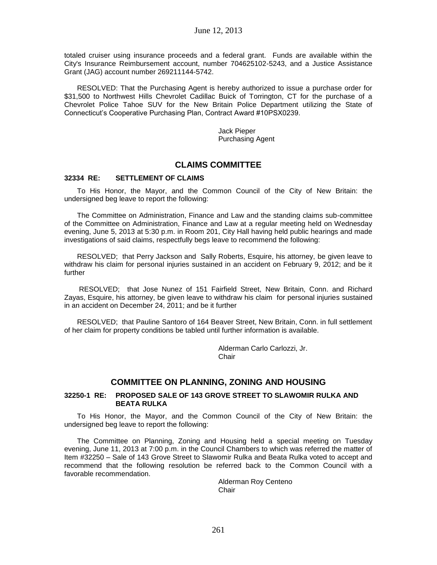totaled cruiser using insurance proceeds and a federal grant. Funds are available within the City's Insurance Reimbursement account, number 704625102-5243, and a Justice Assistance Grant (JAG) account number 269211144-5742.

RESOLVED: That the Purchasing Agent is hereby authorized to issue a purchase order for \$31,500 to Northwest Hills Chevrolet Cadillac Buick of Torrington, CT for the purchase of a Chevrolet Police Tahoe SUV for the New Britain Police Department utilizing the State of Connecticut's Cooperative Purchasing Plan, Contract Award #10PSX0239.

> Jack Pieper Purchasing Agent

# **CLAIMS COMMITTEE**

## **32334 RE: SETTLEMENT OF CLAIMS**

To His Honor, the Mayor, and the Common Council of the City of New Britain: the undersigned beg leave to report the following:

The Committee on Administration, Finance and Law and the standing claims sub-committee of the Committee on Administration, Finance and Law at a regular meeting held on Wednesday evening, June 5, 2013 at 5:30 p.m. in Room 201, City Hall having held public hearings and made investigations of said claims, respectfully begs leave to recommend the following:

RESOLVED; that Perry Jackson and Sally Roberts, Esquire, his attorney, be given leave to withdraw his claim for personal injuries sustained in an accident on February 9, 2012; and be it further

RESOLVED; that Jose Nunez of 151 Fairfield Street, New Britain, Conn. and Richard Zayas, Esquire, his attorney, be given leave to withdraw his claim for personal injuries sustained in an accident on December 24, 2011; and be it further

RESOLVED; that Pauline Santoro of 164 Beaver Street, New Britain, Conn. in full settlement of her claim for property conditions be tabled until further information is available.

> Alderman Carlo Carlozzi, Jr. Chair

# **COMMITTEE ON PLANNING, ZONING AND HOUSING**

### **32250-1 RE: PROPOSED SALE OF 143 GROVE STREET TO SLAWOMIR RULKA AND BEATA RULKA**

To His Honor, the Mayor, and the Common Council of the City of New Britain: the undersigned beg leave to report the following:

The Committee on Planning, Zoning and Housing held a special meeting on Tuesday evening, June 11, 2013 at 7:00 p.m. in the Council Chambers to which was referred the matter of Item #32250 – Sale of 143 Grove Street to Slawomir Rulka and Beata Rulka voted to accept and recommend that the following resolution be referred back to the Common Council with a favorable recommendation.

> Alderman Roy Centeno **Chair**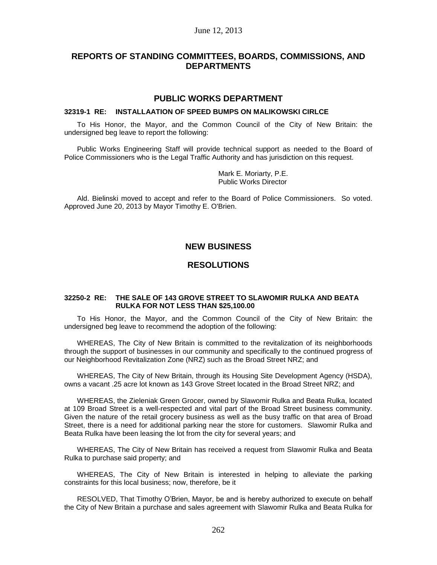# June 12, 2013

# **REPORTS OF STANDING COMMITTEES, BOARDS, COMMISSIONS, AND DEPARTMENTS**

# **PUBLIC WORKS DEPARTMENT**

### **32319-1 RE: INSTALLAATION OF SPEED BUMPS ON MALIKOWSKI CIRLCE**

To His Honor, the Mayor, and the Common Council of the City of New Britain: the undersigned beg leave to report the following:

Public Works Engineering Staff will provide technical support as needed to the Board of Police Commissioners who is the Legal Traffic Authority and has jurisdiction on this request.

> Mark E. Moriarty, P.E. Public Works Director

Ald. Bielinski moved to accept and refer to the Board of Police Commissioners. So voted. Approved June 20, 2013 by Mayor Timothy E. O'Brien.

# **NEW BUSINESS**

# **RESOLUTIONS**

### **32250-2 RE: THE SALE OF 143 GROVE STREET TO SLAWOMIR RULKA AND BEATA RULKA FOR NOT LESS THAN \$25,100.00**

To His Honor, the Mayor, and the Common Council of the City of New Britain: the undersigned beg leave to recommend the adoption of the following:

WHEREAS, The City of New Britain is committed to the revitalization of its neighborhoods through the support of businesses in our community and specifically to the continued progress of our Neighborhood Revitalization Zone (NRZ) such as the Broad Street NRZ; and

WHEREAS, The City of New Britain, through its Housing Site Development Agency (HSDA), owns a vacant .25 acre lot known as 143 Grove Street located in the Broad Street NRZ; and

WHEREAS, the Zieleniak Green Grocer, owned by Slawomir Rulka and Beata Rulka, located at 109 Broad Street is a well-respected and vital part of the Broad Street business community. Given the nature of the retail grocery business as well as the busy traffic on that area of Broad Street, there is a need for additional parking near the store for customers. Slawomir Rulka and Beata Rulka have been leasing the lot from the city for several years; and

WHEREAS, The City of New Britain has received a request from Slawomir Rulka and Beata Rulka to purchase said property; and

WHEREAS, The City of New Britain is interested in helping to alleviate the parking constraints for this local business; now, therefore, be it

RESOLVED, That Timothy O'Brien, Mayor, be and is hereby authorized to execute on behalf the City of New Britain a purchase and sales agreement with Slawomir Rulka and Beata Rulka for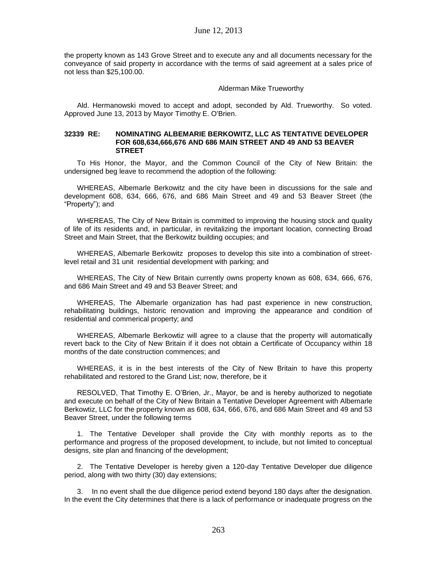the property known as 143 Grove Street and to execute any and all documents necessary for the conveyance of said property in accordance with the terms of said agreement at a sales price of not less than \$25,100.00.

### Alderman Mike Trueworthy

Ald. Hermanowski moved to accept and adopt, seconded by Ald. Trueworthy. So voted. Approved June 13, 2013 by Mayor Timothy E. O'Brien.

#### **32339 RE: NOMINATING ALBEMARIE BERKOWITZ, LLC AS TENTATIVE DEVELOPER FOR 608,634,666,676 AND 686 MAIN STREET AND 49 AND 53 BEAVER STREET**

To His Honor, the Mayor, and the Common Council of the City of New Britain: the undersigned beg leave to recommend the adoption of the following:

WHEREAS, Albemarle Berkowitz and the city have been in discussions for the sale and development 608, 634, 666, 676, and 686 Main Street and 49 and 53 Beaver Street (the "Property"); and

WHEREAS, The City of New Britain is committed to improving the housing stock and quality of life of its residents and, in particular, in revitalizing the important location, connecting Broad Street and Main Street, that the Berkowitz building occupies; and

WHEREAS, Albemarle Berkowitz proposes to develop this site into a combination of streetlevel retail and 31 unit residential development with parking; and

WHEREAS, The City of New Britain currently owns property known as 608, 634, 666, 676, and 686 Main Street and 49 and 53 Beaver Street; and

WHEREAS, The Albemarle organization has had past experience in new construction, rehabilitating buildings, historic renovation and improving the appearance and condition of residential and commerical property; and

WHEREAS, Albemarle Berkowtiz will agree to a clause that the property will automatically revert back to the City of New Britain if it does not obtain a Certificate of Occupancy within 18 months of the date construction commences; and

WHEREAS, it is in the best interests of the City of New Britain to have this property rehabilitated and restored to the Grand List; now, therefore, be it

RESOLVED, That Timothy E. O'Brien, Jr., Mayor, be and is hereby authorized to negotiate and execute on behalf of the City of New Britain a Tentative Developer Agreement with Albemarle Berkowtiz, LLC for the property known as 608, 634, 666, 676, and 686 Main Street and 49 and 53 Beaver Street, under the following terms

1. The Tentative Developer shall provide the City with monthly reports as to the performance and progress of the proposed development, to include, but not limited to conceptual designs, site plan and financing of the development;

2. The Tentative Developer is hereby given a 120-day Tentative Developer due diligence period, along with two thirty (30) day extensions;

3. In no event shall the due diligence period extend beyond 180 days after the designation. In the event the City determines that there is a lack of performance or inadequate progress on the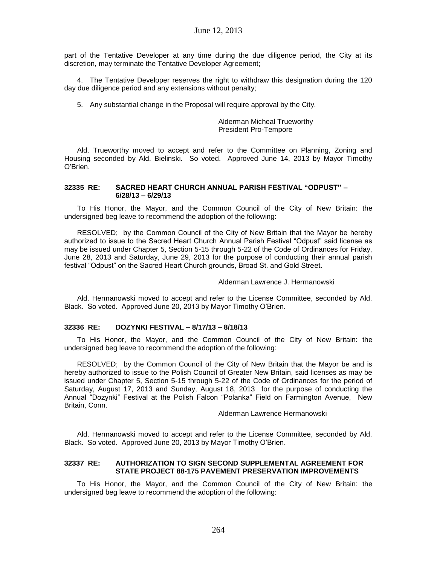part of the Tentative Developer at any time during the due diligence period, the City at its discretion, may terminate the Tentative Developer Agreement;

4. The Tentative Developer reserves the right to withdraw this designation during the 120 day due diligence period and any extensions without penalty;

5. Any substantial change in the Proposal will require approval by the City.

Alderman Micheal Trueworthy President Pro-Tempore

Ald. Trueworthy moved to accept and refer to the Committee on Planning, Zoning and Housing seconded by Ald. Bielinski. So voted. Approved June 14, 2013 by Mayor Timothy O'Brien.

### **32335 RE: SACRED HEART CHURCH ANNUAL PARISH FESTIVAL "ODPUST" – 6/28/13 – 6/29/13**

To His Honor, the Mayor, and the Common Council of the City of New Britain: the undersigned beg leave to recommend the adoption of the following:

RESOLVED; by the Common Council of the City of New Britain that the Mayor be hereby authorized to issue to the Sacred Heart Church Annual Parish Festival "Odpust" said license as may be issued under Chapter 5, Section 5-15 through 5-22 of the Code of Ordinances for Friday, June 28, 2013 and Saturday, June 29, 2013 for the purpose of conducting their annual parish festival "Odpust" on the Sacred Heart Church grounds, Broad St. and Gold Street.

Alderman Lawrence J. Hermanowski

Ald. Hermanowski moved to accept and refer to the License Committee, seconded by Ald. Black. So voted. Approved June 20, 2013 by Mayor Timothy O'Brien.

# **32336 RE: DOZYNKI FESTIVAL – 8/17/13 – 8/18/13**

To His Honor, the Mayor, and the Common Council of the City of New Britain: the undersigned beg leave to recommend the adoption of the following:

RESOLVED; by the Common Council of the City of New Britain that the Mayor be and is hereby authorized to issue to the Polish Council of Greater New Britain, said licenses as may be issued under Chapter 5, Section 5-15 through 5-22 of the Code of Ordinances for the period of Saturday, August 17, 2013 and Sunday, August 18, 2013 for the purpose of conducting the Annual "Dozynki" Festival at the Polish Falcon "Polanka" Field on Farmington Avenue, New Britain, Conn.

Alderman Lawrence Hermanowski

Ald. Hermanowski moved to accept and refer to the License Committee, seconded by Ald. Black. So voted. Approved June 20, 2013 by Mayor Timothy O'Brien.

# **32337 RE: AUTHORIZATION TO SIGN SECOND SUPPLEMENTAL AGREEMENT FOR STATE PROJECT 88-175 PAVEMENT PRESERVATION IMPROVEMENTS**

To His Honor, the Mayor, and the Common Council of the City of New Britain: the undersigned beg leave to recommend the adoption of the following: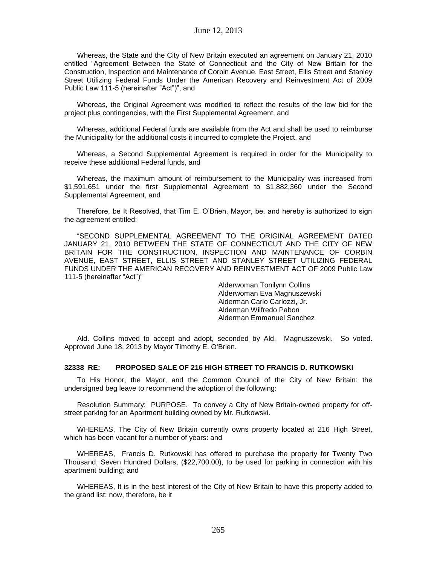Whereas, the State and the City of New Britain executed an agreement on January 21, 2010 entitled "Agreement Between the State of Connecticut and the City of New Britain for the Construction, Inspection and Maintenance of Corbin Avenue, East Street, Ellis Street and Stanley Street Utilizing Federal Funds Under the American Recovery and Reinvestment Act of 2009 Public Law 111-5 (hereinafter "Act")", and

Whereas, the Original Agreement was modified to reflect the results of the low bid for the project plus contingencies, with the First Supplemental Agreement, and

Whereas, additional Federal funds are available from the Act and shall be used to reimburse the Municipality for the additional costs it incurred to complete the Project, and

Whereas, a Second Supplemental Agreement is required in order for the Municipality to receive these additional Federal funds, and

Whereas, the maximum amount of reimbursement to the Municipality was increased from \$1,591,651 under the first Supplemental Agreement to \$1,882,360 under the Second Supplemental Agreement, and

Therefore, be It Resolved, that Tim E. O'Brien, Mayor, be, and hereby is authorized to sign the agreement entitled:

"SECOND SUPPLEMENTAL AGREEMENT TO THE ORIGINAL AGREEMENT DATED JANUARY 21, 2010 BETWEEN THE STATE OF CONNECTICUT AND THE CITY OF NEW BRITAIN FOR THE CONSTRUCTION, INSPECTION AND MAINTENANCE OF CORBIN AVENUE, EAST STREET, ELLIS STREET AND STANLEY STREET UTILIZING FEDERAL FUNDS UNDER THE AMERICAN RECOVERY AND REINVESTMENT ACT OF 2009 Public Law 111-5 (hereinafter "Act")"

> Alderwoman Tonilynn Collins Alderwoman Eva Magnuszewski Alderman Carlo Carlozzi, Jr. Alderman Wilfredo Pabon Alderman Emmanuel Sanchez

Ald. Collins moved to accept and adopt, seconded by Ald. Magnuszewski. So voted. Approved June 18, 2013 by Mayor Timothy E. O'Brien.

#### **32338 RE: PROPOSED SALE OF 216 HIGH STREET TO FRANCIS D. RUTKOWSKI**

To His Honor, the Mayor, and the Common Council of the City of New Britain: the undersigned beg leave to recommend the adoption of the following:

Resolution Summary: PURPOSE. To convey a City of New Britain-owned property for offstreet parking for an Apartment building owned by Mr. Rutkowski.

WHEREAS, The City of New Britain currently owns property located at 216 High Street, which has been vacant for a number of years: and

WHEREAS, Francis D. Rutkowski has offered to purchase the property for Twenty Two Thousand, Seven Hundred Dollars, (\$22,700.00), to be used for parking in connection with his apartment building; and

WHEREAS, It is in the best interest of the City of New Britain to have this property added to the grand list; now, therefore, be it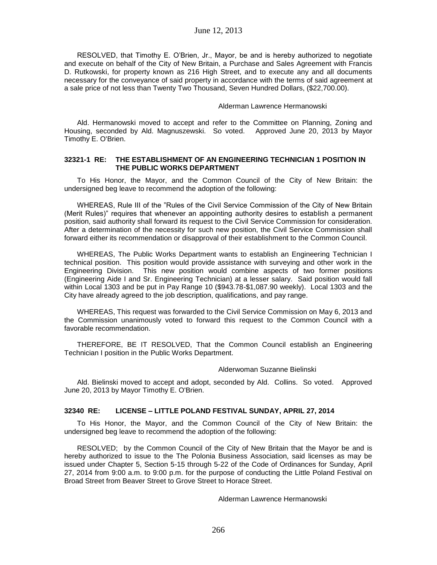RESOLVED, that Timothy E. O'Brien, Jr., Mayor, be and is hereby authorized to negotiate and execute on behalf of the City of New Britain, a Purchase and Sales Agreement with Francis D. Rutkowski, for property known as 216 High Street, and to execute any and all documents necessary for the conveyance of said property in accordance with the terms of said agreement at a sale price of not less than Twenty Two Thousand, Seven Hundred Dollars, (\$22,700.00).

### Alderman Lawrence Hermanowski

Ald. Hermanowski moved to accept and refer to the Committee on Planning, Zoning and Housing, seconded by Ald. Magnuszewski. So voted. Approved June 20, 2013 by Mayor Timothy E. O'Brien.

### **32321-1 RE: THE ESTABLISHMENT OF AN ENGINEERING TECHNICIAN 1 POSITION IN THE PUBLIC WORKS DEPARTMENT**

To His Honor, the Mayor, and the Common Council of the City of New Britain: the undersigned beg leave to recommend the adoption of the following:

WHEREAS, Rule III of the "Rules of the Civil Service Commission of the City of New Britain (Merit Rules)" requires that whenever an appointing authority desires to establish a permanent position, said authority shall forward its request to the Civil Service Commission for consideration. After a determination of the necessity for such new position, the Civil Service Commission shall forward either its recommendation or disapproval of their establishment to the Common Council.

WHEREAS, The Public Works Department wants to establish an Engineering Technician I technical position. This position would provide assistance with surveying and other work in the Engineering Division. This new position would combine aspects of two former positions (Engineering Aide I and Sr. Engineering Technician) at a lesser salary. Said position would fall within Local 1303 and be put in Pay Range 10 (\$943.78-\$1,087.90 weekly). Local 1303 and the City have already agreed to the job description, qualifications, and pay range.

WHEREAS, This request was forwarded to the Civil Service Commission on May 6, 2013 and the Commission unanimously voted to forward this request to the Common Council with a favorable recommendation.

THEREFORE, BE IT RESOLVED, That the Common Council establish an Engineering Technician I position in the Public Works Department.

#### Alderwoman Suzanne Bielinski

Ald. Bielinski moved to accept and adopt, seconded by Ald. Collins. So voted. Approved June 20, 2013 by Mayor Timothy E. O'Brien.

## **32340 RE: LICENSE – LITTLE POLAND FESTIVAL SUNDAY, APRIL 27, 2014**

To His Honor, the Mayor, and the Common Council of the City of New Britain: the undersigned beg leave to recommend the adoption of the following:

RESOLVED; by the Common Council of the City of New Britain that the Mayor be and is hereby authorized to issue to the The Polonia Business Association, said licenses as may be issued under Chapter 5, Section 5-15 through 5-22 of the Code of Ordinances for Sunday, April 27, 2014 from 9:00 a.m. to 9:00 p.m. for the purpose of conducting the Little Poland Festival on Broad Street from Beaver Street to Grove Street to Horace Street.

Alderman Lawrence Hermanowski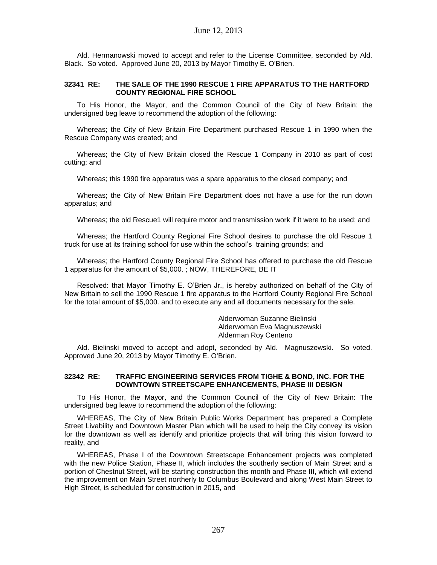Ald. Hermanowski moved to accept and refer to the License Committee, seconded by Ald. Black. So voted. Approved June 20, 2013 by Mayor Timothy E. O'Brien.

## **32341 RE: THE SALE OF THE 1990 RESCUE 1 FIRE APPARATUS TO THE HARTFORD COUNTY REGIONAL FIRE SCHOOL**

To His Honor, the Mayor, and the Common Council of the City of New Britain: the undersigned beg leave to recommend the adoption of the following:

Whereas; the City of New Britain Fire Department purchased Rescue 1 in 1990 when the Rescue Company was created; and

Whereas; the City of New Britain closed the Rescue 1 Company in 2010 as part of cost cutting; and

Whereas; this 1990 fire apparatus was a spare apparatus to the closed company; and

Whereas; the City of New Britain Fire Department does not have a use for the run down apparatus; and

Whereas; the old Rescue1 will require motor and transmission work if it were to be used; and

Whereas; the Hartford County Regional Fire School desires to purchase the old Rescue 1 truck for use at its training school for use within the school's training grounds; and

Whereas; the Hartford County Regional Fire School has offered to purchase the old Rescue 1 apparatus for the amount of \$5,000. ; NOW, THEREFORE, BE IT

Resolved: that Mayor Timothy E. O'Brien Jr., is hereby authorized on behalf of the City of New Britain to sell the 1990 Rescue 1 fire apparatus to the Hartford County Regional Fire School for the total amount of \$5,000. and to execute any and all documents necessary for the sale.

> Alderwoman Suzanne Bielinski Alderwoman Eva Magnuszewski Alderman Roy Centeno

Ald. Bielinski moved to accept and adopt, seconded by Ald. Magnuszewski. So voted. Approved June 20, 2013 by Mayor Timothy E. O'Brien.

## **32342 RE: TRAFFIC ENGINEERING SERVICES FROM TIGHE & BOND, INC. FOR THE DOWNTOWN STREETSCAPE ENHANCEMENTS, PHASE III DESIGN**

To His Honor, the Mayor, and the Common Council of the City of New Britain: The undersigned beg leave to recommend the adoption of the following:

WHEREAS, The City of New Britain Public Works Department has prepared a Complete Street Livability and Downtown Master Plan which will be used to help the City convey its vision for the downtown as well as identify and prioritize projects that will bring this vision forward to reality, and

WHEREAS, Phase I of the Downtown Streetscape Enhancement projects was completed with the new Police Station, Phase II, which includes the southerly section of Main Street and a portion of Chestnut Street, will be starting construction this month and Phase III, which will extend the improvement on Main Street northerly to Columbus Boulevard and along West Main Street to High Street, is scheduled for construction in 2015, and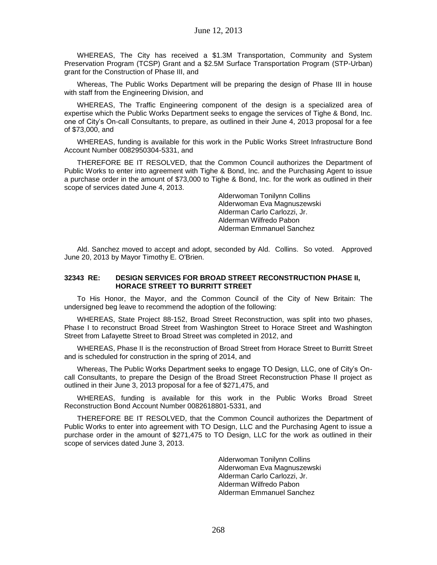WHEREAS, The City has received a \$1.3M Transportation, Community and System Preservation Program (TCSP) Grant and a \$2.5M Surface Transportation Program (STP-Urban) grant for the Construction of Phase III, and

Whereas, The Public Works Department will be preparing the design of Phase III in house with staff from the Engineering Division, and

WHEREAS, The Traffic Engineering component of the design is a specialized area of expertise which the Public Works Department seeks to engage the services of Tighe & Bond, Inc. one of City's On-call Consultants, to prepare, as outlined in their June 4, 2013 proposal for a fee of \$73,000, and

WHEREAS, funding is available for this work in the Public Works Street Infrastructure Bond Account Number 0082950304-5331, and

THEREFORE BE IT RESOLVED, that the Common Council authorizes the Department of Public Works to enter into agreement with Tighe & Bond, Inc. and the Purchasing Agent to issue a purchase order in the amount of \$73,000 to Tighe & Bond, Inc. for the work as outlined in their scope of services dated June 4, 2013.

> Alderwoman Tonilynn Collins Alderwoman Eva Magnuszewski Alderman Carlo Carlozzi, Jr. Alderman Wilfredo Pabon Alderman Emmanuel Sanchez

Ald. Sanchez moved to accept and adopt, seconded by Ald. Collins. So voted. Approved June 20, 2013 by Mayor Timothy E. O'Brien.

### **32343 RE: DESIGN SERVICES FOR BROAD STREET RECONSTRUCTION PHASE II, HORACE STREET TO BURRITT STREET**

To His Honor, the Mayor, and the Common Council of the City of New Britain: The undersigned beg leave to recommend the adoption of the following:

WHEREAS, State Project 88-152, Broad Street Reconstruction, was split into two phases, Phase I to reconstruct Broad Street from Washington Street to Horace Street and Washington Street from Lafayette Street to Broad Street was completed in 2012, and

WHEREAS, Phase II is the reconstruction of Broad Street from Horace Street to Burritt Street and is scheduled for construction in the spring of 2014, and

Whereas, The Public Works Department seeks to engage TO Design, LLC, one of City's Oncall Consultants, to prepare the Design of the Broad Street Reconstruction Phase II project as outlined in their June 3, 2013 proposal for a fee of \$271,475, and

WHEREAS, funding is available for this work in the Public Works Broad Street Reconstruction Bond Account Number 0082618801-5331, and

THEREFORE BE IT RESOLVED, that the Common Council authorizes the Department of Public Works to enter into agreement with TO Design, LLC and the Purchasing Agent to issue a purchase order in the amount of \$271,475 to TO Design, LLC for the work as outlined in their scope of services dated June 3, 2013.

> Alderwoman Tonilynn Collins Alderwoman Eva Magnuszewski Alderman Carlo Carlozzi, Jr. Alderman Wilfredo Pabon Alderman Emmanuel Sanchez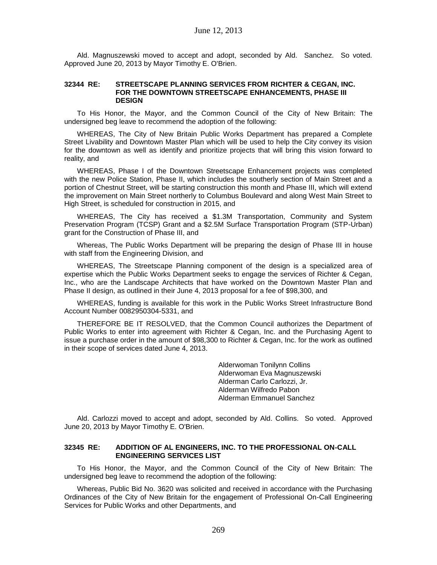Ald. Magnuszewski moved to accept and adopt, seconded by Ald. Sanchez. So voted. Approved June 20, 2013 by Mayor Timothy E. O'Brien.

### **32344 RE: STREETSCAPE PLANNING SERVICES FROM RICHTER & CEGAN, INC. FOR THE DOWNTOWN STREETSCAPE ENHANCEMENTS, PHASE III DESIGN**

To His Honor, the Mayor, and the Common Council of the City of New Britain: The undersigned beg leave to recommend the adoption of the following:

WHEREAS, The City of New Britain Public Works Department has prepared a Complete Street Livability and Downtown Master Plan which will be used to help the City convey its vision for the downtown as well as identify and prioritize projects that will bring this vision forward to reality, and

WHEREAS, Phase I of the Downtown Streetscape Enhancement projects was completed with the new Police Station, Phase II, which includes the southerly section of Main Street and a portion of Chestnut Street, will be starting construction this month and Phase III, which will extend the improvement on Main Street northerly to Columbus Boulevard and along West Main Street to High Street, is scheduled for construction in 2015, and

WHEREAS, The City has received a \$1.3M Transportation, Community and System Preservation Program (TCSP) Grant and a \$2.5M Surface Transportation Program (STP-Urban) grant for the Construction of Phase III, and

Whereas, The Public Works Department will be preparing the design of Phase III in house with staff from the Engineering Division, and

WHEREAS, The Streetscape Planning component of the design is a specialized area of expertise which the Public Works Department seeks to engage the services of Richter & Cegan, Inc., who are the Landscape Architects that have worked on the Downtown Master Plan and Phase II design, as outlined in their June 4, 2013 proposal for a fee of \$98,300, and

WHEREAS, funding is available for this work in the Public Works Street Infrastructure Bond Account Number 0082950304-5331, and

THEREFORE BE IT RESOLVED, that the Common Council authorizes the Department of Public Works to enter into agreement with Richter & Cegan, Inc. and the Purchasing Agent to issue a purchase order in the amount of \$98,300 to Richter & Cegan, Inc. for the work as outlined in their scope of services dated June 4, 2013.

> Alderwoman Tonilynn Collins Alderwoman Eva Magnuszewski Alderman Carlo Carlozzi, Jr. Alderman Wilfredo Pabon Alderman Emmanuel Sanchez

Ald. Carlozzi moved to accept and adopt, seconded by Ald. Collins. So voted. Approved June 20, 2013 by Mayor Timothy E. O'Brien.

## **32345 RE: ADDITION OF AL ENGINEERS, INC. TO THE PROFESSIONAL ON-CALL ENGINEERING SERVICES LIST**

To His Honor, the Mayor, and the Common Council of the City of New Britain: The undersigned beg leave to recommend the adoption of the following:

Whereas, Public Bid No. 3620 was solicited and received in accordance with the Purchasing Ordinances of the City of New Britain for the engagement of Professional On-Call Engineering Services for Public Works and other Departments, and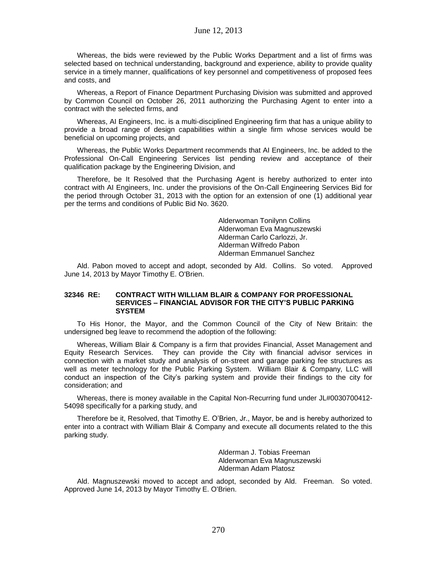## June 12, 2013

Whereas, the bids were reviewed by the Public Works Department and a list of firms was selected based on technical understanding, background and experience, ability to provide quality service in a timely manner, qualifications of key personnel and competitiveness of proposed fees and costs, and

Whereas, a Report of Finance Department Purchasing Division was submitted and approved by Common Council on October 26, 2011 authorizing the Purchasing Agent to enter into a contract with the selected firms, and

Whereas, AI Engineers, Inc. is a multi-disciplined Engineering firm that has a unique ability to provide a broad range of design capabilities within a single firm whose services would be beneficial on upcoming projects, and

Whereas, the Public Works Department recommends that AI Engineers, Inc. be added to the Professional On-Call Engineering Services list pending review and acceptance of their qualification package by the Engineering Division, and

Therefore, be It Resolved that the Purchasing Agent is hereby authorized to enter into contract with AI Engineers, Inc. under the provisions of the On-Call Engineering Services Bid for the period through October 31, 2013 with the option for an extension of one (1) additional year per the terms and conditions of Public Bid No. 3620.

> Alderwoman Tonilynn Collins Alderwoman Eva Magnuszewski Alderman Carlo Carlozzi, Jr. Alderman Wilfredo Pabon Alderman Emmanuel Sanchez

Ald. Pabon moved to accept and adopt, seconded by Ald. Collins. So voted. Approved June 14, 2013 by Mayor Timothy E. O'Brien.

### **32346 RE: CONTRACT WITH WILLIAM BLAIR & COMPANY FOR PROFESSIONAL SERVICES – FINANCIAL ADVISOR FOR THE CITY'S PUBLIC PARKING SYSTEM**

To His Honor, the Mayor, and the Common Council of the City of New Britain: the undersigned beg leave to recommend the adoption of the following:

Whereas, William Blair & Company is a firm that provides Financial, Asset Management and Equity Research Services. They can provide the City with financial advisor services in connection with a market study and analysis of on-street and garage parking fee structures as well as meter technology for the Public Parking System. William Blair & Company, LLC will conduct an inspection of the City's parking system and provide their findings to the city for consideration; and

Whereas, there is money available in the Capital Non-Recurring fund under JL#0030700412- 54098 specifically for a parking study, and

Therefore be it, Resolved, that Timothy E. O'Brien, Jr., Mayor, be and is hereby authorized to enter into a contract with William Blair & Company and execute all documents related to the this parking study.

> Alderman J. Tobias Freeman Alderwoman Eva Magnuszewski Alderman Adam Platosz

Ald. Magnuszewski moved to accept and adopt, seconded by Ald. Freeman. So voted. Approved June 14, 2013 by Mayor Timothy E. O'Brien.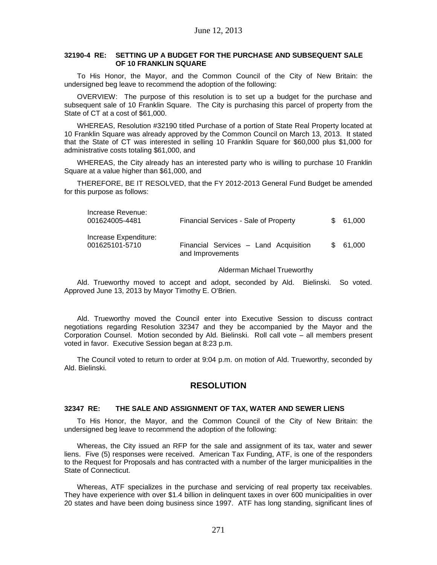### **32190-4 RE: SETTING UP A BUDGET FOR THE PURCHASE AND SUBSEQUENT SALE OF 10 FRANKLIN SQUARE**

To His Honor, the Mayor, and the Common Council of the City of New Britain: the undersigned beg leave to recommend the adoption of the following:

OVERVIEW: The purpose of this resolution is to set up a budget for the purchase and subsequent sale of 10 Franklin Square. The City is purchasing this parcel of property from the State of CT at a cost of \$61,000.

WHEREAS, Resolution #32190 titled Purchase of a portion of State Real Property located at 10 Franklin Square was already approved by the Common Council on March 13, 2013. It stated that the State of CT was interested in selling 10 Franklin Square for \$60,000 plus \$1,000 for administrative costs totaling \$61,000, and

WHEREAS, the City already has an interested party who is willing to purchase 10 Franklin Square at a value higher than \$61,000, and

THEREFORE, BE IT RESOLVED, that the FY 2012-2013 General Fund Budget be amended for this purpose as follows:

| Increase Revenue:<br>001624005-4481<br><b>Financial Services - Sale of Property</b> |                                                           | \$ 61.000 |
|-------------------------------------------------------------------------------------|-----------------------------------------------------------|-----------|
| Increase Expenditure:<br>001625101-5710                                             | Financial Services - Land Acquisition<br>and Improvements | \$ 61,000 |

#### Alderman Michael Trueworthy

Ald. Trueworthy moved to accept and adopt, seconded by Ald. Bielinski. So voted. Approved June 13, 2013 by Mayor Timothy E. O'Brien.

Ald. Trueworthy moved the Council enter into Executive Session to discuss contract negotiations regarding Resolution 32347 and they be accompanied by the Mayor and the Corporation Counsel. Motion seconded by Ald. Bielinski. Roll call vote – all members present voted in favor. Executive Session began at 8:23 p.m.

The Council voted to return to order at 9:04 p.m. on motion of Ald. Trueworthy, seconded by Ald. Bielinski.

# **RESOLUTION**

## **32347 RE: THE SALE AND ASSIGNMENT OF TAX, WATER AND SEWER LIENS**

To His Honor, the Mayor, and the Common Council of the City of New Britain: the undersigned beg leave to recommend the adoption of the following:

Whereas, the City issued an RFP for the sale and assignment of its tax, water and sewer liens. Five (5) responses were received. American Tax Funding, ATF, is one of the responders to the Request for Proposals and has contracted with a number of the larger municipalities in the State of Connecticut.

Whereas, ATF specializes in the purchase and servicing of real property tax receivables. They have experience with over \$1.4 billion in delinquent taxes in over 600 municipalities in over 20 states and have been doing business since 1997. ATF has long standing, significant lines of